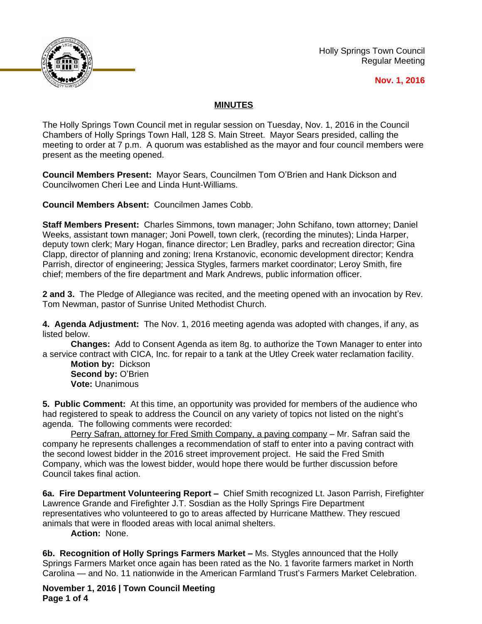

Holly Springs Town Council Regular Meeting

## **Nov. 1, 2016**

## **MINUTES**

The Holly Springs Town Council met in regular session on Tuesday, Nov. 1, 2016 in the Council Chambers of Holly Springs Town Hall, 128 S. Main Street. Mayor Sears presided, calling the meeting to order at 7 p.m. A quorum was established as the mayor and four council members were present as the meeting opened.

**Council Members Present:** Mayor Sears, Councilmen Tom O'Brien and Hank Dickson and Councilwomen Cheri Lee and Linda Hunt-Williams.

**Council Members Absent:** Councilmen James Cobb.

**Staff Members Present:** Charles Simmons, town manager; John Schifano, town attorney; Daniel Weeks, assistant town manager; Joni Powell, town clerk, (recording the minutes); Linda Harper, deputy town clerk; Mary Hogan, finance director; Len Bradley, parks and recreation director; Gina Clapp, director of planning and zoning; Irena Krstanovic, economic development director; Kendra Parrish, director of engineering; Jessica Stygles, farmers market coordinator; Leroy Smith, fire chief; members of the fire department and Mark Andrews, public information officer.

**2 and 3.** The Pledge of Allegiance was recited, and the meeting opened with an invocation by Rev. Tom Newman, pastor of Sunrise United Methodist Church.

**4. Agenda Adjustment:** The Nov. 1, 2016 meeting agenda was adopted with changes, if any, as listed below.

**Changes:** Add to Consent Agenda as item 8g. to authorize the Town Manager to enter into a service contract with CICA, Inc. for repair to a tank at the Utley Creek water reclamation facility.

**Motion by:** Dickson **Second by:** O'Brien **Vote:** Unanimous

**5. Public Comment:** At this time, an opportunity was provided for members of the audience who had registered to speak to address the Council on any variety of topics not listed on the night's agenda. The following comments were recorded:

Perry Safran, attorney for Fred Smith Company, a paving company – Mr. Safran said the company he represents challenges a recommendation of staff to enter into a paving contract with the second lowest bidder in the 2016 street improvement project. He said the Fred Smith Company, which was the lowest bidder, would hope there would be further discussion before Council takes final action.

**6a. Fire Department Volunteering Report - Chief Smith recognized Lt. Jason Parrish, Firefighter** Lawrence Grande and Firefighter J.T. Sosdian as the Holly Springs Fire Department representatives who volunteered to go to areas affected by Hurricane Matthew. They rescued animals that were in flooded areas with local animal shelters.

**Action:** None.

**6b. Recognition of Holly Springs Farmers Market –** Ms. Stygles announced that the Holly Springs Farmers Market once again has been rated as the No. 1 favorite farmers market in North Carolina — and No. 11 nationwide in the American Farmland Trust's Farmers Market Celebration.

**November 1, 2016 | Town Council Meeting Page 1 of 4**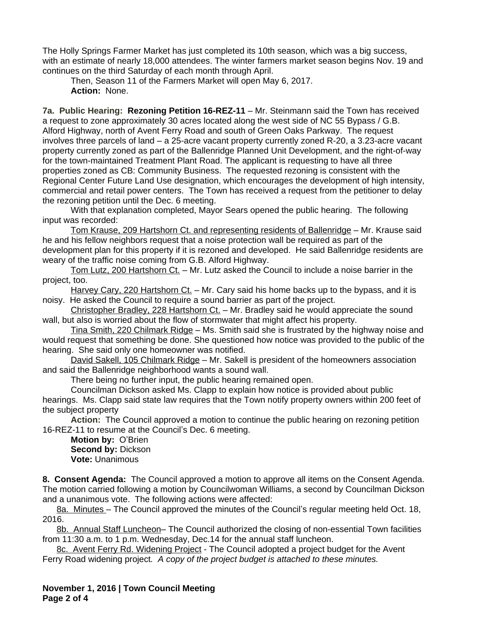The Holly Springs Farmer Market has just completed its 10th season, which was a big success, with an estimate of nearly 18,000 attendees. The winter farmers market season begins Nov. 19 and continues on the third Saturday of each month through April.

Then, Season 11 of the Farmers Market will open May 6, 2017. **Action:** None.

**7a. Public Hearing: Rezoning Petition 16-REZ-11** – Mr. Steinmann said the Town has received a request to zone approximately 30 acres located along the west side of NC 55 Bypass / G.B. Alford Highway, north of Avent Ferry Road and south of Green Oaks Parkway. The request involves three parcels of land – a 25-acre vacant property currently zoned R-20, a 3.23-acre vacant property currently zoned as part of the Ballenridge Planned Unit Development, and the right-of-way for the town-maintained Treatment Plant Road. The applicant is requesting to have all three properties zoned as CB: Community Business. The requested rezoning is consistent with the Regional Center Future Land Use designation, which encourages the development of high intensity, commercial and retail power centers. The Town has received a request from the petitioner to delay the rezoning petition until the Dec. 6 meeting.

With that explanation completed, Mayor Sears opened the public hearing. The following input was recorded:

Tom Krause, 209 Hartshorn Ct. and representing residents of Ballenridge – Mr. Krause said he and his fellow neighbors request that a noise protection wall be required as part of the development plan for this property if it is rezoned and developed. He said Ballenridge residents are weary of the traffic noise coming from G.B. Alford Highway.

Tom Lutz, 200 Hartshorn Ct. - Mr. Lutz asked the Council to include a noise barrier in the project, too.

Harvey Cary, 220 Hartshorn Ct. - Mr. Cary said his home backs up to the bypass, and it is noisy. He asked the Council to require a sound barrier as part of the project.

Christopher Bradley, 228 Hartshorn Ct. – Mr. Bradley said he would appreciate the sound wall, but also is worried about the flow of stormwater that might affect his property.

Tina Smith, 220 Chilmark Ridge – Ms. Smith said she is frustrated by the highway noise and would request that something be done. She questioned how notice was provided to the public of the hearing. She said only one homeowner was notified.

David Sakell, 105 Chilmark Ridge – Mr. Sakell is president of the homeowners association and said the Ballenridge neighborhood wants a sound wall.

There being no further input, the public hearing remained open.

Councilman Dickson asked Ms. Clapp to explain how notice is provided about public hearings. Ms. Clapp said state law requires that the Town notify property owners within 200 feet of the subject property

**Action:** The Council approved a motion to continue the public hearing on rezoning petition 16-REZ-11 to resume at the Council's Dec. 6 meeting.

**Motion by:** O'Brien **Second by: Dickson Vote:** Unanimous

**8. Consent Agenda:** The Council approved a motion to approve all items on the Consent Agenda. The motion carried following a motion by Councilwoman Williams, a second by Councilman Dickson and a unanimous vote. The following actions were affected:

8a. Minutes – The Council approved the minutes of the Council's regular meeting held Oct. 18, 2016.

8b. Annual Staff Luncheon– The Council authorized the closing of non-essential Town facilities from 11:30 a.m. to 1 p.m. Wednesday, Dec.14 for the annual staff luncheon.

8c. Avent Ferry Rd. Widening Project - The Council adopted a project budget for the Avent Ferry Road widening project*. A copy of the project budget is attached to these minutes.*

**November 1, 2016 | Town Council Meeting Page 2 of 4**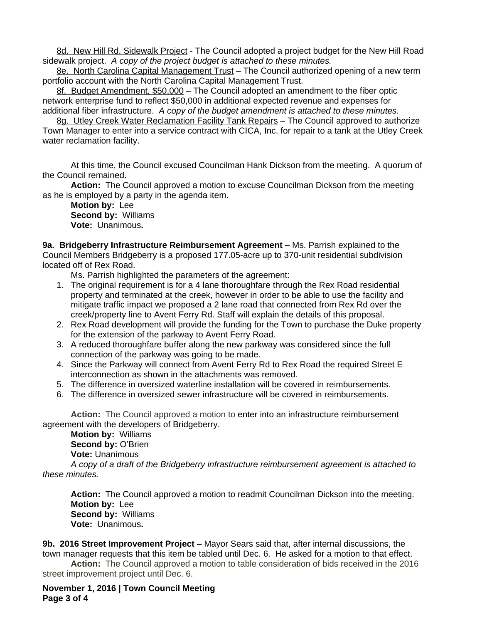8d. New Hill Rd. Sidewalk Project - The Council adopted a project budget for the New Hill Road sidewalk project. *A copy of the project budget is attached to these minutes.*

8e. North Carolina Capital Management Trust - The Council authorized opening of a new term portfolio account with the North Carolina Capital Management Trust.

8f. Budget Amendment, \$50,000 – The Council adopted an amendment to the fiber optic network enterprise fund to reflect \$50,000 in additional expected revenue and expenses for additional fiber infrastructure. *A copy of the budget amendment is attached to these minutes.*

8g. Utley Creek Water Reclamation Facility Tank Repairs - The Council approved to authorize Town Manager to enter into a service contract with CICA, Inc. for repair to a tank at the Utley Creek water reclamation facility.

At this time, the Council excused Councilman Hank Dickson from the meeting. A quorum of the Council remained.

**Action:** The Council approved a motion to excuse Councilman Dickson from the meeting as he is employed by a party in the agenda item.

**Motion by:** Lee **Second by:** Williams **Vote:** Unanimous**.**

**9a. Bridgeberry Infrastructure Reimbursement Agreement –** Ms. Parrish explained to the Council Members Bridgeberry is a proposed 177.05-acre up to 370-unit residential subdivision located off of Rex Road.

Ms. Parrish highlighted the parameters of the agreement:

- 1. The original requirement is for a 4 lane thoroughfare through the Rex Road residential property and terminated at the creek, however in order to be able to use the facility and mitigate traffic impact we proposed a 2 lane road that connected from Rex Rd over the creek/property line to Avent Ferry Rd. Staff will explain the details of this proposal.
- 2. Rex Road development will provide the funding for the Town to purchase the Duke property for the extension of the parkway to Avent Ferry Road.
- 3. A reduced thoroughfare buffer along the new parkway was considered since the full connection of the parkway was going to be made.
- 4. Since the Parkway will connect from Avent Ferry Rd to Rex Road the required Street E interconnection as shown in the attachments was removed.
- 5. The difference in oversized waterline installation will be covered in reimbursements.
- 6. The difference in oversized sewer infrastructure will be covered in reimbursements.

**Action:** The Council approved a motion to enter into an infrastructure reimbursement agreement with the developers of Bridgeberry.

**Motion by:** Williams **Second by:** O'Brien **Vote:** Unanimous

*A copy of a draft of the Bridgeberry infrastructure reimbursement agreement is attached to these minutes.*

Action: The Council approved a motion to readmit Councilman Dickson into the meeting. **Motion by:** Lee **Second by:** Williams **Vote:** Unanimous**.**

**9b. 2016 Street Improvement Project –** Mayor Sears said that, after internal discussions, the town manager requests that this item be tabled until Dec. 6. He asked for a motion to that effect.

**Action:** The Council approved a motion to table consideration of bids received in the 2016 street improvement project until Dec. 6.

**November 1, 2016 | Town Council Meeting Page 3 of 4**